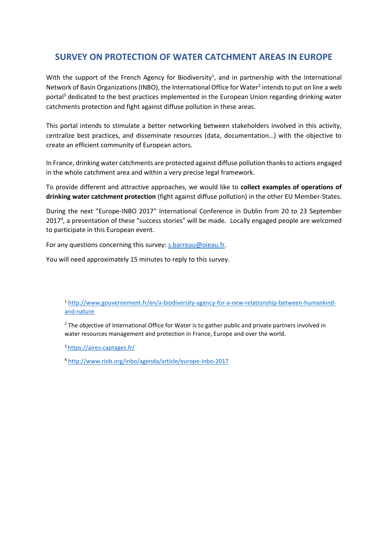# **SURVEY ON PROTECTION OF WATER CATCHMENT AREAS IN EUROPE**

With the support of the French Agency for Biodiversity<sup>1</sup>, and in partnership with the International Network of Basin Organizations (INBO), the International Office for Water<sup>2</sup> intends to put on line a web portal<sup>3</sup> dedicated to the best practices implemented in the European Union regarding drinking water catchments protection and fight against diffuse pollution in these areas.

This portal intends to stimulate a better networking between stakeholders involved in this activity, centralize best practices, and disseminate resources (data, documentation…) with the objective to create an efficient community of European actors.

In France, drinking water catchments are protected against diffuse pollution thanks to actions engaged in the whole catchment area and within a very precise legal framework.

To provide different and attractive approaches, we would like to **collect examples of operations of drinking water catchment protection** (fight against diffuse pollution) in the other EU Member-States.

During the next "Europe-INBO 2017" International Conference in Dublin from 20 to 23 September 2017<sup>4</sup>, a presentation of these "success stories" will be made. Locally engaged people are welcomed to participate in this European event.

For any questions concerning this survey: [s.barreau@oieau.fr.](mailto:s.barreau@oieau.fr)

You will need approximately 15 minutes to reply to this survey.

<sup>1</sup> [http://www.gouvernement.fr/en/a-biodiversity-agency-for-a-new-relationship-between-humankind](http://www.gouvernement.fr/en/a-biodiversity-agency-for-a-new-relationship-between-humankind-and-nature)[and-nature](http://www.gouvernement.fr/en/a-biodiversity-agency-for-a-new-relationship-between-humankind-and-nature)

<sup>2</sup> The objective of International Office for Water is to gather [public and private partners i](http://garonne.oieau.fr/spip.php?mot87&lang=en)nvolved in water resources management and protection in France, Europe and over the world.

3 https://aires-captages.fr/

<sup>4</sup> <http://www.riob.org/inbo/agenda/article/europe-inbo-2017>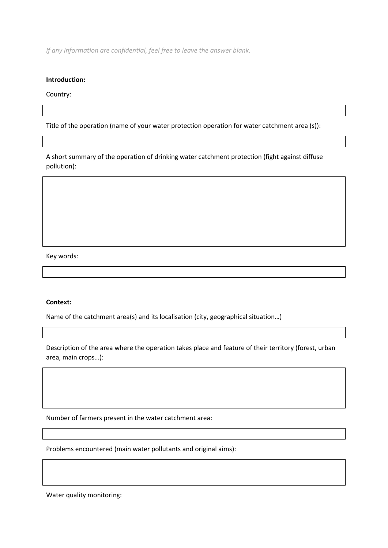*If any information are confidential, feel free to leave the answer blank.* 

#### **Introduction:**

Country:

Title of the operation (name of your water protection operation for water catchment area (s)):

A short summary of the operation of drinking water catchment protection (fight against diffuse pollution):

Key words:

#### **Context:**

Name of the catchment area(s) and its localisation (city, geographical situation…)

Description of the area where the operation takes place and feature of their territory (forest, urban area, main crops…):

Number of farmers present in the water catchment area:

Problems encountered (main water pollutants and original aims):

Water quality monitoring: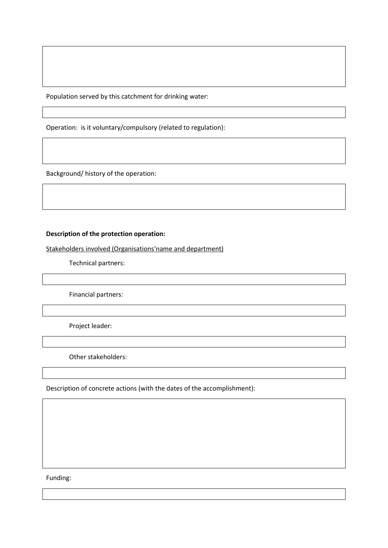Population served by this catchment for drinking water:

Operation: is it voluntary/compulsory (related to regulation):

Background/ history of the operation:

## **Description of the protection operation:**

Stakeholders involved (Organisations'name and department)

Technical partners:

Financial partners:

Project leader:

Other stakeholders:

Description of concrete actions (with the dates of the accomplishment):

Funding: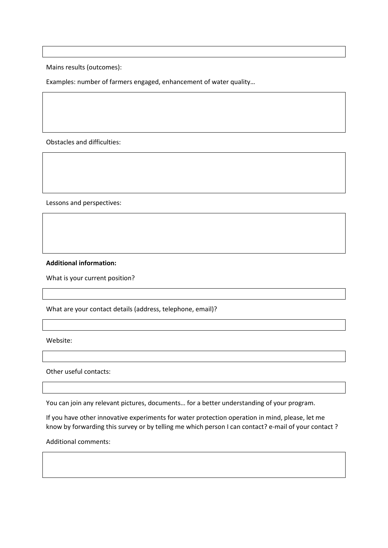Mains results (outcomes):

Examples: number of farmers engaged, enhancement of water quality…

Obstacles and difficulties:

Lessons and perspectives:

### **Additional information:**

What is your current position?

What are your contact details (address, telephone, email)?

Website:

Other useful contacts:

You can join any relevant pictures, documents… for a better understanding of your program.

If you have other innovative experiments for water protection operation in mind, please, let me know by forwarding this survey or by telling me which person I can contact? e-mail of your contact ?

Additional comments: